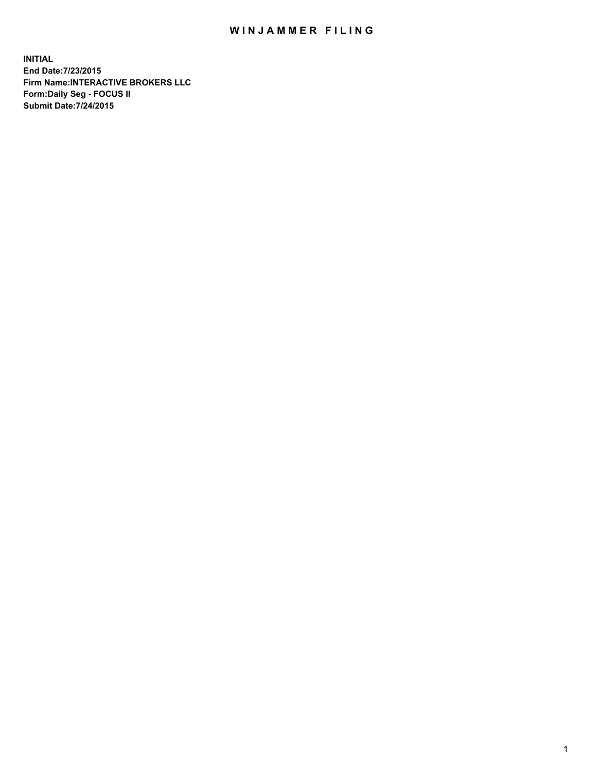## WIN JAMMER FILING

**INITIAL End Date:7/23/2015 Firm Name:INTERACTIVE BROKERS LLC Form:Daily Seg - FOCUS II Submit Date:7/24/2015**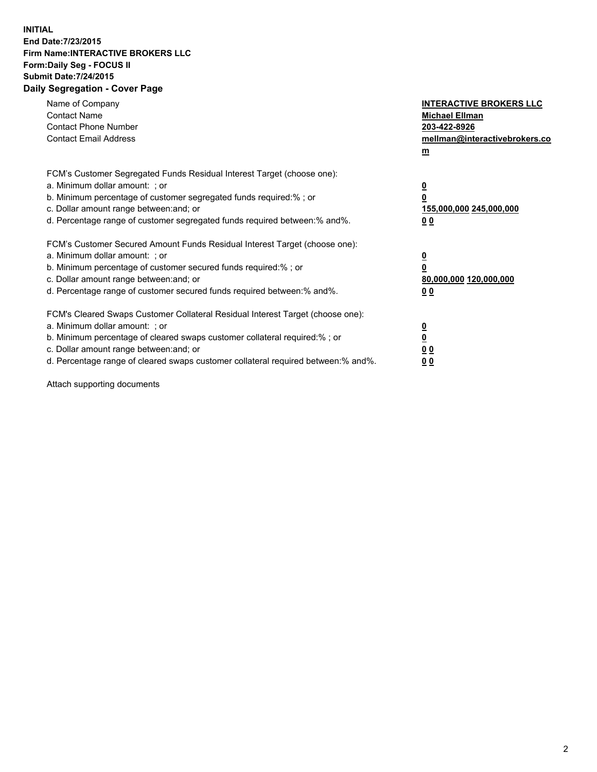## **INITIAL End Date:7/23/2015 Firm Name:INTERACTIVE BROKERS LLC Form:Daily Seg - FOCUS II Submit Date:7/24/2015 Daily Segregation - Cover Page**

| Name of Company<br><b>Contact Name</b><br><b>Contact Phone Number</b><br><b>Contact Email Address</b>                                                                                                                                                                                                                          | <b>INTERACTIVE BROKERS LLC</b><br><b>Michael Ellman</b><br>203-422-8926<br>mellman@interactivebrokers.co<br>$m$ |
|--------------------------------------------------------------------------------------------------------------------------------------------------------------------------------------------------------------------------------------------------------------------------------------------------------------------------------|-----------------------------------------------------------------------------------------------------------------|
| FCM's Customer Segregated Funds Residual Interest Target (choose one):<br>a. Minimum dollar amount: ; or<br>b. Minimum percentage of customer segregated funds required:% ; or<br>c. Dollar amount range between: and; or<br>d. Percentage range of customer segregated funds required between: % and %.                       | $\overline{\mathbf{0}}$<br>0<br>155,000,000 245,000,000<br>00                                                   |
| FCM's Customer Secured Amount Funds Residual Interest Target (choose one):<br>a. Minimum dollar amount: ; or<br>b. Minimum percentage of customer secured funds required:%; or<br>c. Dollar amount range between: and; or<br>d. Percentage range of customer secured funds required between: % and %.                          | $\overline{\mathbf{0}}$<br>0<br>80,000,000 120,000,000<br>0 <sub>0</sub>                                        |
| FCM's Cleared Swaps Customer Collateral Residual Interest Target (choose one):<br>a. Minimum dollar amount: ; or<br>b. Minimum percentage of cleared swaps customer collateral required:% ; or<br>c. Dollar amount range between: and; or<br>d. Percentage range of cleared swaps customer collateral required between:% and%. | $\overline{\mathbf{0}}$<br>$\underline{\mathbf{0}}$<br>0 <sub>0</sub><br>0 <sub>0</sub>                         |

Attach supporting documents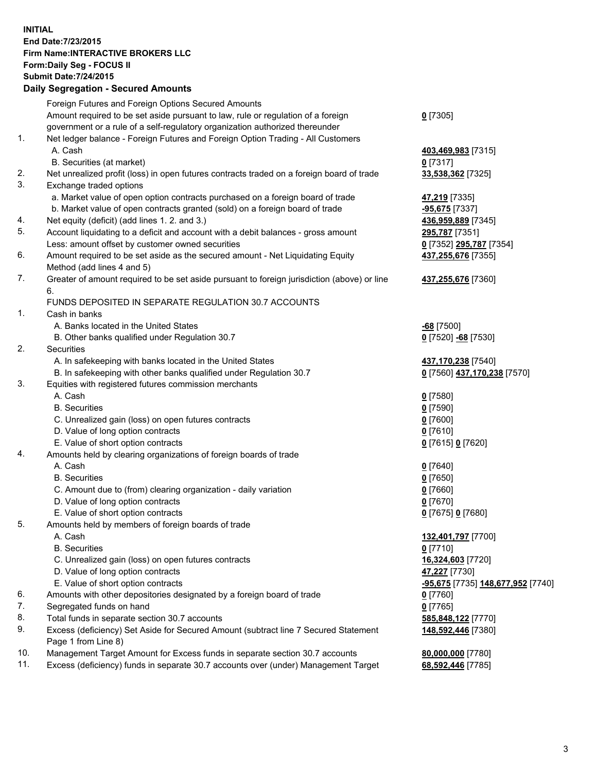## **INITIAL End Date:7/23/2015 Firm Name:INTERACTIVE BROKERS LLC Form:Daily Seg - FOCUS II Submit Date:7/24/2015 Daily Segregation - Secured Amounts**

|     | Dany Oogrogaach - Ocearea Amoanta                                                           |                                   |
|-----|---------------------------------------------------------------------------------------------|-----------------------------------|
|     | Foreign Futures and Foreign Options Secured Amounts                                         |                                   |
|     | Amount required to be set aside pursuant to law, rule or regulation of a foreign            | $0$ [7305]                        |
|     | government or a rule of a self-regulatory organization authorized thereunder                |                                   |
| 1.  | Net ledger balance - Foreign Futures and Foreign Option Trading - All Customers             |                                   |
|     | A. Cash                                                                                     | 403,469,983 [7315]                |
|     | B. Securities (at market)                                                                   | $0$ [7317]                        |
| 2.  | Net unrealized profit (loss) in open futures contracts traded on a foreign board of trade   | 33,538,362 [7325]                 |
| 3.  | Exchange traded options                                                                     |                                   |
|     | a. Market value of open option contracts purchased on a foreign board of trade              | 47,219 [7335]                     |
|     | b. Market value of open contracts granted (sold) on a foreign board of trade                | -95,675 [7337]                    |
| 4.  | Net equity (deficit) (add lines 1.2. and 3.)                                                | 436,959,889 [7345]                |
| 5.  | Account liquidating to a deficit and account with a debit balances - gross amount           | 295,787 [7351]                    |
|     | Less: amount offset by customer owned securities                                            |                                   |
| 6.  |                                                                                             | 0 [7352] 295,787 [7354]           |
|     | Amount required to be set aside as the secured amount - Net Liquidating Equity              | 437,255,676 [7355]                |
|     | Method (add lines 4 and 5)                                                                  |                                   |
| 7.  | Greater of amount required to be set aside pursuant to foreign jurisdiction (above) or line | 437,255,676 [7360]                |
|     | 6.                                                                                          |                                   |
|     | FUNDS DEPOSITED IN SEPARATE REGULATION 30.7 ACCOUNTS                                        |                                   |
| 1.  | Cash in banks                                                                               |                                   |
|     | A. Banks located in the United States                                                       | $-68$ [7500]                      |
|     | B. Other banks qualified under Regulation 30.7                                              | 0 [7520] -68 [7530]               |
| 2.  | Securities                                                                                  |                                   |
|     | A. In safekeeping with banks located in the United States                                   | 437,170,238 [7540]                |
|     | B. In safekeeping with other banks qualified under Regulation 30.7                          | 0 [7560] 437,170,238 [7570]       |
| 3.  | Equities with registered futures commission merchants                                       |                                   |
|     | A. Cash                                                                                     | $0$ [7580]                        |
|     | <b>B.</b> Securities                                                                        | $0$ [7590]                        |
|     | C. Unrealized gain (loss) on open futures contracts                                         | $0$ [7600]                        |
|     | D. Value of long option contracts                                                           | $0$ [7610]                        |
|     | E. Value of short option contracts                                                          | 0 [7615] 0 [7620]                 |
| 4.  | Amounts held by clearing organizations of foreign boards of trade                           |                                   |
|     | A. Cash                                                                                     | $0$ [7640]                        |
|     | <b>B.</b> Securities                                                                        | $0$ [7650]                        |
|     | C. Amount due to (from) clearing organization - daily variation                             | $0$ [7660]                        |
|     | D. Value of long option contracts                                                           | $0$ [7670]                        |
|     | E. Value of short option contracts                                                          | 0 [7675] 0 [7680]                 |
| 5.  | Amounts held by members of foreign boards of trade                                          |                                   |
|     | A. Cash                                                                                     | 132,401,797 [7700]                |
|     | <b>B.</b> Securities                                                                        | $0$ [7710]                        |
|     | C. Unrealized gain (loss) on open futures contracts                                         | 16,324,603 [7720]                 |
|     | D. Value of long option contracts                                                           | 47,227 [7730]                     |
|     | E. Value of short option contracts                                                          | -95,675 [7735] 148,677,952 [7740] |
| 6.  | Amounts with other depositories designated by a foreign board of trade                      | $0$ [7760]                        |
| 7.  | Segregated funds on hand                                                                    | $0$ [7765]                        |
| 8.  | Total funds in separate section 30.7 accounts                                               | 585,848,122 [7770]                |
| 9.  | Excess (deficiency) Set Aside for Secured Amount (subtract line 7 Secured Statement         | 148,592,446 [7380]                |
|     | Page 1 from Line 8)                                                                         |                                   |
| 10. | Management Target Amount for Excess funds in separate section 30.7 accounts                 | 80,000,000 [7780]                 |
| 11. | Excess (deficiency) funds in separate 30.7 accounts over (under) Management Target          | 68,592,446 [7785]                 |
|     |                                                                                             |                                   |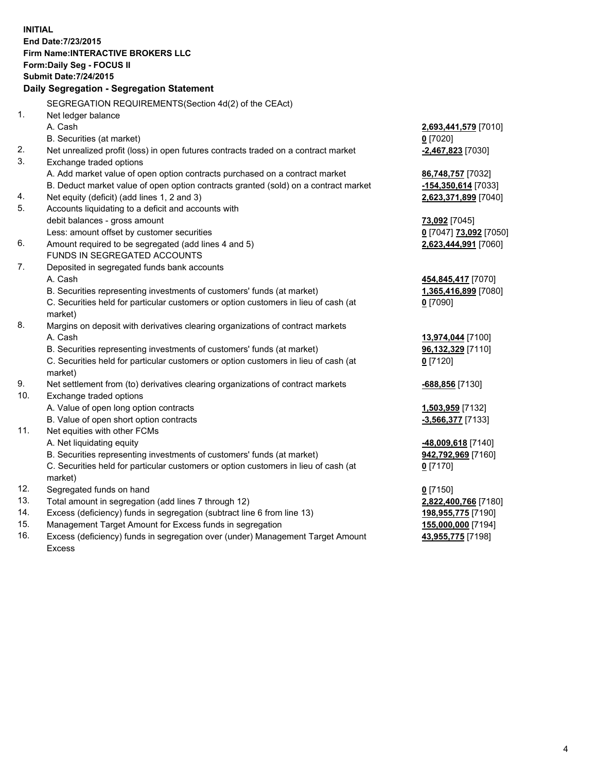**INITIAL End Date:7/23/2015 Firm Name:INTERACTIVE BROKERS LLC Form:Daily Seg - FOCUS II Submit Date:7/24/2015 Daily Segregation - Segregation Statement** SEGREGATION REQUIREMENTS(Section 4d(2) of the CEAct) 1. Net ledger balance A. Cash **2,693,441,579** [7010] B. Securities (at market) **0** [7020] 2. Net unrealized profit (loss) in open futures contracts traded on a contract market **-2,467,823** [7030] 3. Exchange traded options A. Add market value of open option contracts purchased on a contract market **86,748,757** [7032] B. Deduct market value of open option contracts granted (sold) on a contract market **-154,350,614** [7033] 4. Net equity (deficit) (add lines 1, 2 and 3) **2,623,371,899** [7040] 5. Accounts liquidating to a deficit and accounts with debit balances - gross amount **73,092** [7045] Less: amount offset by customer securities **0** [7047] **73,092** [7050] 6. Amount required to be segregated (add lines 4 and 5) **2,623,444,991** [7060] FUNDS IN SEGREGATED ACCOUNTS 7. Deposited in segregated funds bank accounts A. Cash **454,845,417** [7070] B. Securities representing investments of customers' funds (at market) **1,365,416,899** [7080] C. Securities held for particular customers or option customers in lieu of cash (at market) **0** [7090] 8. Margins on deposit with derivatives clearing organizations of contract markets A. Cash **13,974,044** [7100] B. Securities representing investments of customers' funds (at market) **96,132,329** [7110] C. Securities held for particular customers or option customers in lieu of cash (at market) **0** [7120] 9. Net settlement from (to) derivatives clearing organizations of contract markets **-688,856** [7130] 10. Exchange traded options A. Value of open long option contracts **1,503,959** [7132] B. Value of open short option contracts **-3,566,377** [7133] 11. Net equities with other FCMs A. Net liquidating equity **-48,009,618** [7140] B. Securities representing investments of customers' funds (at market) **942,792,969** [7160] C. Securities held for particular customers or option customers in lieu of cash (at market) **0** [7170] 12. Segregated funds on hand **0** [7150] 13. Total amount in segregation (add lines 7 through 12) **2,822,400,766** [7180] 14. Excess (deficiency) funds in segregation (subtract line 6 from line 13) **198,955,775** [7190] 15. Management Target Amount for Excess funds in segregation **155,000,000** [7194]

16. Excess (deficiency) funds in segregation over (under) Management Target Amount Excess

**43,955,775** [7198]